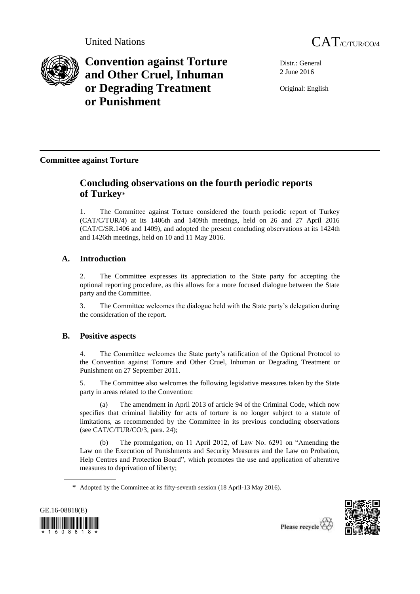



**Convention against Torture and Other Cruel, Inhuman or Degrading Treatment or Punishment**

Distr.: General 2 June 2016

Original: English

**Committee against Torture**

# **Concluding observations on the fourth periodic reports of Turkey**\*

1. The Committee against Torture considered the fourth periodic report of Turkey (CAT/C/TUR/4) at its 1406th and 1409th meetings, held on 26 and 27 April 2016 (CAT/C/SR.1406 and 1409), and adopted the present concluding observations at its 1424th and 1426th meetings, held on 10 and 11 May 2016.

## **A. Introduction**

2. The Committee expresses its appreciation to the State party for accepting the optional reporting procedure, as this allows for a more focused dialogue between the State party and the Committee.

3. The Committee welcomes the dialogue held with the State party's delegation during the consideration of the report.

## **B. Positive aspects**

4. The Committee welcomes the State party's ratification of the Optional Protocol to the Convention against Torture and Other Cruel, Inhuman or Degrading Treatment or Punishment on 27 September 2011.

5. The Committee also welcomes the following legislative measures taken by the State party in areas related to the Convention:

(a) The amendment in April 2013 of article 94 of the Criminal Code, which now specifies that criminal liability for acts of torture is no longer subject to a statute of limitations, as recommended by the Committee in its previous concluding observations (see CAT/C/TUR/CO/3, para. 24);

(b) The promulgation, on 11 April 2012, of Law No. 6291 on "Amending the Law on the Execution of Punishments and Security Measures and the Law on Probation, Help Centres and Protection Board", which promotes the use and application of alterative measures to deprivation of liberty;

<sup>\*</sup> Adopted by the Committee at its fifty-seventh session (18 April-13 May 2016).



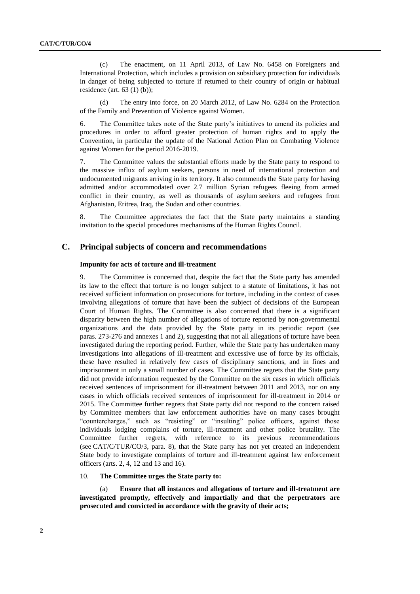(c) The enactment, on 11 April 2013, of Law No. 6458 on Foreigners and International Protection, which includes a provision on subsidiary protection for individuals in danger of being subjected to torture if returned to their country of origin or habitual residence (art.  $63$  (1) (b));

(d) The entry into force, on 20 March 2012, of Law No. 6284 on the Protection of the Family and Prevention of Violence against Women.

6. The Committee takes note of the State party's initiatives to amend its policies and procedures in order to afford greater protection of human rights and to apply the Convention, in particular the update of the National Action Plan on Combating Violence against Women for the period 2016-2019.

7. The Committee values the substantial efforts made by the State party to respond to the massive influx of asylum seekers, persons in need of international protection and undocumented migrants arriving in its territory. It also commends the State party for having admitted and/or accommodated over 2.7 million Syrian refugees fleeing from armed conflict in their country, as well as thousands of asylum seekers and refugees from Afghanistan, Eritrea, Iraq, the Sudan and other countries.

8. The Committee appreciates the fact that the State party maintains a standing invitation to the special procedures mechanisms of the Human Rights Council.

### **C. Principal subjects of concern and recommendations**

### **Impunity for acts of torture and ill-treatment**

9. The Committee is concerned that, despite the fact that the State party has amended its law to the effect that torture is no longer subject to a statute of limitations, it has not received sufficient information on prosecutions for torture, including in the context of cases involving allegations of torture that have been the subject of decisions of the European Court of Human Rights. The Committee is also concerned that there is a significant disparity between the high number of allegations of torture reported by non-governmental organizations and the data provided by the State party in its periodic report (see paras. 273-276 and annexes 1 and 2), suggesting that not all allegations of torture have been investigated during the reporting period. Further, while the State party has undertaken many investigations into allegations of ill-treatment and excessive use of force by its officials, these have resulted in relatively few cases of disciplinary sanctions, and in fines and imprisonment in only a small number of cases. The Committee regrets that the State party did not provide information requested by the Committee on the six cases in which officials received sentences of imprisonment for ill-treatment between 2011 and 2013, nor on any cases in which officials received sentences of imprisonment for ill-treatment in 2014 or 2015. The Committee further regrets that State party did not respond to the concern raised by Committee members that law enforcement authorities have on many cases brought "countercharges," such as "resisting" or "insulting" police officers, against those individuals lodging complains of torture, ill-treatment and other police brutality. The Committee further regrets, with reference to its previous recommendations (see CAT/C/TUR/CO/3, para. 8), that the State party has not yet created an independent State body to investigate complaints of torture and ill-treatment against law enforcement officers (arts. 2, 4, 12 and 13 and 16).

### 10. **The Committee urges the State party to:**

(a) **Ensure that all instances and allegations of torture and ill-treatment are investigated promptly, effectively and impartially and that the perpetrators are prosecuted and convicted in accordance with the gravity of their acts;**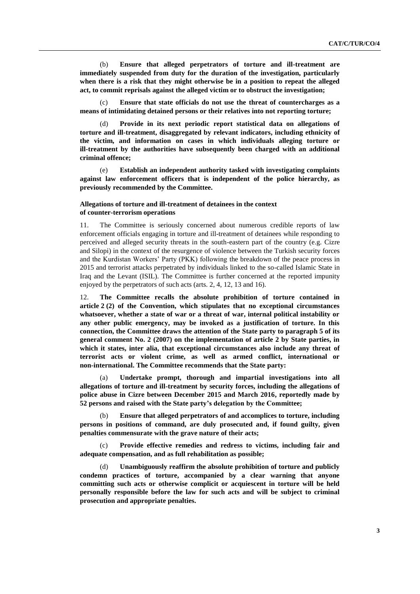(b) **Ensure that alleged perpetrators of torture and ill-treatment are immediately suspended from duty for the duration of the investigation, particularly when there is a risk that they might otherwise be in a position to repeat the alleged act, to commit reprisals against the alleged victim or to obstruct the investigation;**

(c) **Ensure that state officials do not use the threat of countercharges as a means of intimidating detained persons or their relatives into not reporting torture;**

(d) **Provide in its next periodic report statistical data on allegations of torture and ill-treatment, disaggregated by relevant indicators, including ethnicity of the victim, and information on cases in which individuals alleging torture or ill-treatment by the authorities have subsequently been charged with an additional criminal offence;**

(e) **Establish an independent authority tasked with investigating complaints against law enforcement officers that is independent of the police hierarchy, as previously recommended by the Committee.**

### **Allegations of torture and ill-treatment of detainees in the context of counter-terrorism operations**

11. The Committee is seriously concerned about numerous credible reports of law enforcement officials engaging in torture and ill-treatment of detainees while responding to perceived and alleged security threats in the south-eastern part of the country (e.g. Cizre and Silopi) in the context of the resurgence of violence between the Turkish security forces and the Kurdistan Workers' Party (PKK) following the breakdown of the peace process in 2015 and terrorist attacks perpetrated by individuals linked to the so-called Islamic State in Iraq and the Levant (ISIL). The Committee is further concerned at the reported impunity enjoyed by the perpetrators of such acts (arts. 2, 4, 12, 13 and 16).

12. **The Committee recalls the absolute prohibition of torture contained in article 2 (2) of the Convention, which stipulates that no exceptional circumstances whatsoever, whether a state of war or a threat of war, internal political instability or any other public emergency, may be invoked as a justification of torture. In this connection, the Committee draws the attention of the State party to paragraph 5 of its general comment No. 2 (2007) on the implementation of article 2 by State parties, in which it states, inter alia, that exceptional circumstances also include any threat of terrorist acts or violent crime, as well as armed conflict, international or non-international. The Committee recommends that the State party:**

Undertake prompt, thorough and impartial investigations into all **allegations of torture and ill-treatment by security forces, including the allegations of police abuse in Cizre between December 2015 and March 2016, reportedly made by 52 persons and raised with the State party's delegation by the Committee;**

(b) **Ensure that alleged perpetrators of and accomplices to torture, including persons in positions of command, are duly prosecuted and, if found guilty, given penalties commensurate with the grave nature of their acts;**

(c) **Provide effective remedies and redress to victims, including fair and adequate compensation, and as full rehabilitation as possible;**

(d) **Unambiguously reaffirm the absolute prohibition of torture and publicly condemn practices of torture, accompanied by a clear warning that anyone committing such acts or otherwise complicit or acquiescent in torture will be held personally responsible before the law for such acts and will be subject to criminal prosecution and appropriate penalties.**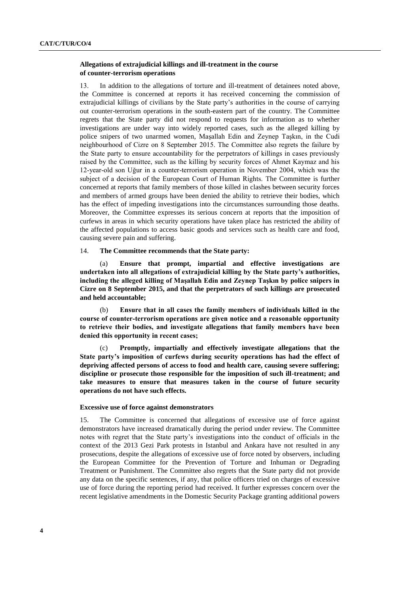### **Allegations of extrajudicial killings and ill-treatment in the course of counter-terrorism operations**

13. In addition to the allegations of torture and ill-treatment of detainees noted above, the Committee is concerned at reports it has received concerning the commission of extrajudicial killings of civilians by the State party's authorities in the course of carrying out counter-terrorism operations in the south-eastern part of the country. The Committee regrets that the State party did not respond to requests for information as to whether investigations are under way into widely reported cases, such as the alleged killing by police snipers of two unarmed women, Maşallah Edin and Zeynep Taşkın, in the Cudi neighbourhood of Cizre on 8 September 2015. The Committee also regrets the failure by the State party to ensure accountability for the perpetrators of killings in cases previously raised by the Committee, such as the killing by security forces of Ahmet Kaymaz and his 12-year-old son Uğur in a counter-terrorism operation in November 2004, which was the subject of a decision of the European Court of Human Rights. The Committee is further concerned at reports that family members of those killed in clashes between security forces and members of armed groups have been denied the ability to retrieve their bodies, which has the effect of impeding investigations into the circumstances surrounding those deaths. Moreover, the Committee expresses its serious concern at reports that the imposition of curfews in areas in which security operations have taken place has restricted the ability of the affected populations to access basic goods and services such as health care and food, causing severe pain and suffering.

### 14. **The Committee recommends that the State party:**

Ensure that prompt, impartial and effective investigations are **undertaken into all allegations of extrajudicial killing by the State party's authorities, including the alleged killing of Maşallah Edin and Zeynep Taşkın by police snipers in Cizre on 8 September 2015, and that the perpetrators of such killings are prosecuted and held accountable;**

(b) **Ensure that in all cases the family members of individuals killed in the course of counter-terrorism operations are given notice and a reasonable opportunity to retrieve their bodies, and investigate allegations that family members have been denied this opportunity in recent cases;**

Promptly, impartially and effectively investigate allegations that the **State party's imposition of curfews during security operations has had the effect of depriving affected persons of access to food and health care, causing severe suffering; discipline or prosecute those responsible for the imposition of such ill-treatment; and take measures to ensure that measures taken in the course of future security operations do not have such effects.**

### **Excessive use of force against demonstrators**

15. The Committee is concerned that allegations of excessive use of force against demonstrators have increased dramatically during the period under review. The Committee notes with regret that the State party's investigations into the conduct of officials in the context of the 2013 Gezi Park protests in Istanbul and Ankara have not resulted in any prosecutions, despite the allegations of excessive use of force noted by observers, including the European Committee for the Prevention of Torture and Inhuman or Degrading Treatment or Punishment. The Committee also regrets that the State party did not provide any data on the specific sentences, if any, that police officers tried on charges of excessive use of force during the reporting period had received. It further expresses concern over the recent legislative amendments in the Domestic Security Package granting additional powers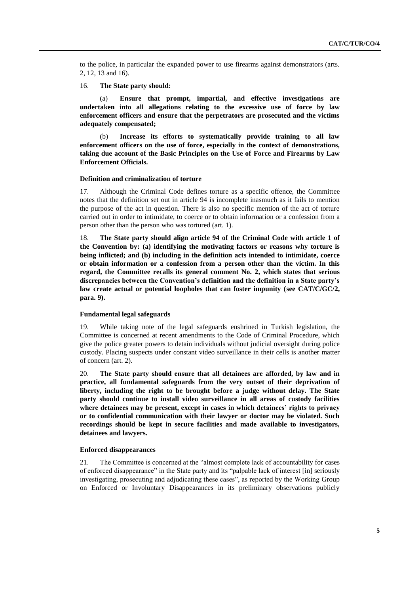to the police, in particular the expanded power to use firearms against demonstrators (arts. 2, 12, 13 and 16).

16. **The State party should:**

(a) **Ensure that prompt, impartial, and effective investigations are undertaken into all allegations relating to the excessive use of force by law enforcement officers and ensure that the perpetrators are prosecuted and the victims adequately compensated;**

(b) **Increase its efforts to systematically provide training to all law enforcement officers on the use of force, especially in the context of demonstrations, taking due account of the Basic Principles on the Use of Force and Firearms by Law Enforcement Officials.**

#### **Definition and criminalization of torture**

17. Although the Criminal Code defines torture as a specific offence, the Committee notes that the definition set out in article 94 is incomplete inasmuch as it fails to mention the purpose of the act in question. There is also no specific mention of the act of torture carried out in order to intimidate, to coerce or to obtain information or a confession from a person other than the person who was tortured (art. 1).

18. **The State party should align article 94 of the Criminal Code with article 1 of the Convention by: (a) identifying the motivating factors or reasons why torture is being inflicted; and (b) including in the definition acts intended to intimidate, coerce or obtain information or a confession from a person other than the victim. In this regard, the Committee recalls its general comment No. 2, which states that serious discrepancies between the Convention's definition and the definition in a State party's law create actual or potential loopholes that can foster impunity (see CAT/C/GC/2, para. 9).**

#### **Fundamental legal safeguards**

19. While taking note of the legal safeguards enshrined in Turkish legislation, the Committee is concerned at recent amendments to the Code of Criminal Procedure, which give the police greater powers to detain individuals without judicial oversight during police custody. Placing suspects under constant video surveillance in their cells is another matter of concern (art. 2).

20. **The State party should ensure that all detainees are afforded, by law and in practice, all fundamental safeguards from the very outset of their deprivation of liberty, including the right to be brought before a judge without delay. The State party should continue to install video surveillance in all areas of custody facilities where detainees may be present, except in cases in which detainees' rights to privacy or to confidential communication with their lawyer or doctor may be violated. Such recordings should be kept in secure facilities and made available to investigators, detainees and lawyers.**

### **Enforced disappearances**

21. The Committee is concerned at the "almost complete lack of accountability for cases of enforced disappearance" in the State party and its "palpable lack of interest [in] seriously investigating, prosecuting and adjudicating these cases", as reported by the Working Group on Enforced or Involuntary Disappearances in its preliminary observations publicly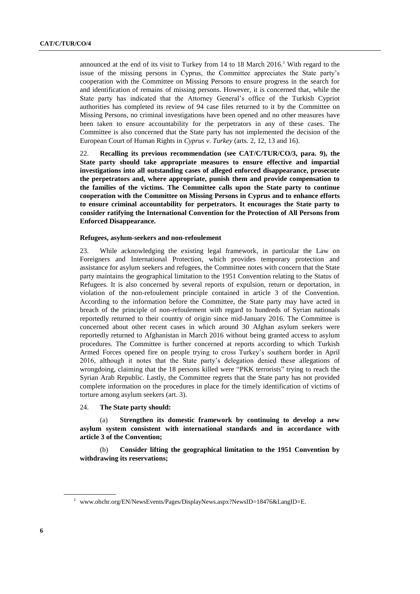announced at the end of its visit to Turkey from  $14$  to  $18$  March  $2016<sup>1</sup>$  With regard to the issue of the missing persons in Cyprus, the Committee appreciates the State party's cooperation with the Committee on Missing Persons to ensure progress in the search for and identification of remains of missing persons. However, it is concerned that, while the State party has indicated that the Attorney General's office of the Turkish Cypriot authorities has completed its review of 94 case files returned to it by the Committee on Missing Persons, no criminal investigations have been opened and no other measures have been taken to ensure accountability for the perpetrators in any of these cases. The Committee is also concerned that the State party has not implemented the decision of the European Court of Human Rights in *Cyprus v. Turkey* (arts. 2, 12, 13 and 16).

22. **Recalling its previous recommendation (see CAT/C/TUR/CO/3, para. 9), the State party should take appropriate measures to ensure effective and impartial investigations into all outstanding cases of alleged enforced disappearance, prosecute the perpetrators and, where appropriate, punish them and provide compensation to the families of the victims. The Committee calls upon the State party to continue cooperation with the Committee on Missing Persons in Cyprus and to enhance efforts to ensure criminal accountability for perpetrators. It encourages the State party to consider ratifying the International Convention for the Protection of All Persons from Enforced Disappearance.**

### **Refugees, asylum-seekers and non-refoulement**

23. While acknowledging the existing legal framework, in particular the Law on Foreigners and International Protection, which provides temporary protection and assistance for asylum seekers and refugees, the Committee notes with concern that the State party maintains the geographical limitation to the 1951 Convention relating to the Status of Refugees. It is also concerned by several reports of expulsion, return or deportation, in violation of the non-refoulement principle contained in article 3 of the Convention. According to the information before the Committee, the State party may have acted in breach of the principle of non-refoulement with regard to hundreds of Syrian nationals reportedly returned to their country of origin since mid-January 2016. The Committee is concerned about other recent cases in which around 30 Afghan asylum seekers were reportedly returned to Afghanistan in March 2016 without being granted access to asylum procedures. The Committee is further concerned at reports according to which Turkish Armed Forces opened fire on people trying to cross Turkey's southern border in April 2016, although it notes that the State party's delegation denied these allegations of wrongdoing, claiming that the 18 persons killed were "PKK terrorists" trying to reach the Syrian Arab Republic. Lastly, the Committee regrets that the State party has not provided complete information on the procedures in place for the timely identification of victims of torture among asylum seekers (art. 3).

24. **The State party should:**

(a) **Strengthen its domestic framework by continuing to develop a new asylum system consistent with international standards and in accordance with article 3 of the Convention;**

(b) **Consider lifting the geographical limitation to the 1951 Convention by withdrawing its reservations;**

<sup>&</sup>lt;sup>1</sup> [www.ohchr.org/EN/NewsEvents/Pages/DisplayNews.aspx?NewsID=18476&LangID=E.](http://www.ohchr.org/EN/NewsEvents/Pages/DisplayNews.aspx?NewsID=18476&LangID=E)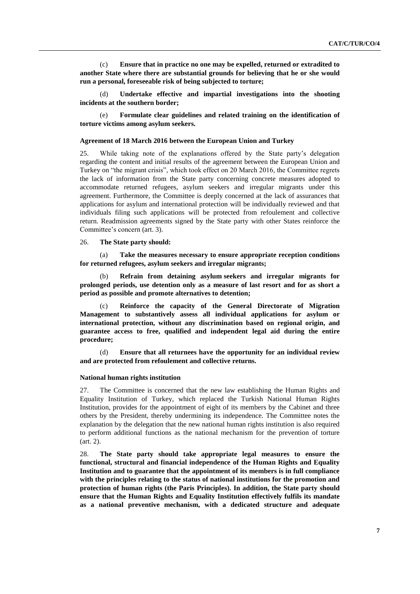(c) **Ensure that in practice no one may be expelled, returned or extradited to another State where there are substantial grounds for believing that he or she would run a personal, foreseeable risk of being subjected to torture;**

(d) **Undertake effective and impartial investigations into the shooting incidents at the southern border;**

(e) **Formulate clear guidelines and related training on the identification of torture victims among asylum seekers.**

### **Agreement of 18 March 2016 between the European Union and Turkey**

25. While taking note of the explanations offered by the State party's delegation regarding the content and initial results of the agreement between the European Union and Turkey on "the migrant crisis", which took effect on 20 March 2016, the Committee regrets the lack of information from the State party concerning concrete measures adopted to accommodate returned refugees, asylum seekers and irregular migrants under this agreement. Furthermore, the Committee is deeply concerned at the lack of assurances that applications for asylum and international protection will be individually reviewed and that individuals filing such applications will be protected from refoulement and collective return. Readmission agreements signed by the State party with other States reinforce the Committee's concern (art. 3).

#### 26. **The State party should:**

(a) **Take the measures necessary to ensure appropriate reception conditions for returned refugees, asylum seekers and irregular migrants;**

(b) **Refrain from detaining asylum seekers and irregular migrants for prolonged periods, use detention only as a measure of last resort and for as short a period as possible and promote alternatives to detention;**

(c) **Reinforce the capacity of the General Directorate of Migration Management to substantively assess all individual applications for asylum or international protection, without any discrimination based on regional origin, and guarantee access to free, qualified and independent legal aid during the entire procedure;**

(d) **Ensure that all returnees have the opportunity for an individual review and are protected from refoulement and collective returns.**

#### **National human rights institution**

27. The Committee is concerned that the new law establishing the Human Rights and Equality Institution of Turkey, which replaced the Turkish National Human Rights Institution, provides for the appointment of eight of its members by the Cabinet and three others by the President, thereby undermining its independence. The Committee notes the explanation by the delegation that the new national human rights institution is also required to perform additional functions as the national mechanism for the prevention of torture (art. 2).

28. **The State party should take appropriate legal measures to ensure the functional, structural and financial independence of the Human Rights and Equality Institution and to guarantee that the appointment of its members is in full compliance with the principles relating to the status of national institutions for the promotion and protection of human rights (the Paris Principles). In addition, the State party should ensure that the Human Rights and Equality Institution effectively fulfils its mandate as a national preventive mechanism, with a dedicated structure and adequate**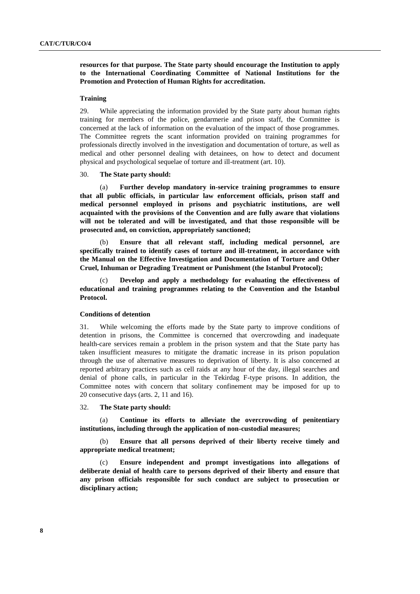**resources for that purpose. The State party should encourage the Institution to apply to the International Coordinating Committee of National Institutions for the Promotion and Protection of Human Rights for accreditation.**

### **Training**

29. While appreciating the information provided by the State party about human rights training for members of the police, gendarmerie and prison staff, the Committee is concerned at the lack of information on the evaluation of the impact of those programmes. The Committee regrets the scant information provided on training programmes for professionals directly involved in the investigation and documentation of torture, as well as medical and other personnel dealing with detainees, on how to detect and document physical and psychological sequelae of torture and ill-treatment (art. 10).

30. **The State party should:**

(a) **Further develop mandatory in-service training programmes to ensure that all public officials, in particular law enforcement officials, prison staff and medical personnel employed in prisons and psychiatric institutions, are well acquainted with the provisions of the Convention and are fully aware that violations will not be tolerated and will be investigated, and that those responsible will be prosecuted and, on conviction, appropriately sanctioned;**

(b) **Ensure that all relevant staff, including medical personnel, are specifically trained to identify cases of torture and ill-treatment, in accordance with the Manual on the Effective Investigation and Documentation of Torture and Other Cruel, Inhuman or Degrading Treatment or Punishment (the Istanbul Protocol);**

(c) **Develop and apply a methodology for evaluating the effectiveness of educational and training programmes relating to the Convention and the Istanbul Protocol.**

### **Conditions of detention**

31. While welcoming the efforts made by the State party to improve conditions of detention in prisons, the Committee is concerned that overcrowding and inadequate health-care services remain a problem in the prison system and that the State party has taken insufficient measures to mitigate the dramatic increase in its prison population through the use of alternative measures to deprivation of liberty. It is also concerned at reported arbitrary practices such as cell raids at any hour of the day, illegal searches and denial of phone calls, in particular in the Tekirdag F-type prisons. In addition, the Committee notes with concern that solitary confinement may be imposed for up to 20 consecutive days (arts. 2, 11 and 16).

#### 32. **The State party should:**

(a) **Continue its efforts to alleviate the overcrowding of penitentiary institutions, including through the application of non-custodial measures;**

Ensure that all persons deprived of their liberty receive timely and **appropriate medical treatment;**

(c) **Ensure independent and prompt investigations into allegations of deliberate denial of health care to persons deprived of their liberty and ensure that any prison officials responsible for such conduct are subject to prosecution or disciplinary action;**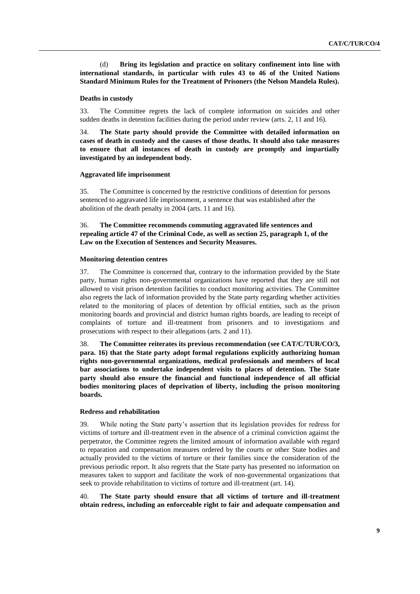(d) **Bring its legislation and practice on solitary confinement into line with international standards, in particular with rules 43 to 46 of the United Nations Standard Minimum Rules for the Treatment of Prisoners (the Nelson Mandela Rules).**

#### **Deaths in custody**

33. The Committee regrets the lack of complete information on suicides and other sudden deaths in detention facilities during the period under review (arts. 2, 11 and 16).

34. **The State party should provide the Committee with detailed information on cases of death in custody and the causes of those deaths. It should also take measures to ensure that all instances of death in custody are promptly and impartially investigated by an independent body.**

### **Aggravated life imprisonment**

35. The Committee is concerned by the restrictive conditions of detention for persons sentenced to aggravated life imprisonment, a sentence that was established after the abolition of the death penalty in 2004 (arts. 11 and 16).

### 36. **The Committee recommends commuting aggravated life sentences and repealing article 47 of the Criminal Code, as well as section 25, paragraph 1, of the Law on the Execution of Sentences and Security Measures.**

### **Monitoring detention centres**

37. The Committee is concerned that, contrary to the information provided by the State party, human rights non-governmental organizations have reported that they are still not allowed to visit prison detention facilities to conduct monitoring activities. The Committee also regrets the lack of information provided by the State party regarding whether activities related to the monitoring of places of detention by official entities, such as the prison monitoring boards and provincial and district human rights boards, are leading to receipt of complaints of torture and ill-treatment from prisoners and to investigations and prosecutions with respect to their allegations (arts. 2 and 11).

38. **The Committee reiterates its previous recommendation (see CAT/C/TUR/CO/3, para. 16) that the State party adopt formal regulations explicitly authorizing human rights non-governmental organizations, medical professionals and members of local bar associations to undertake independent visits to places of detention. The State party should also ensure the financial and functional independence of all official bodies monitoring places of deprivation of liberty, including the prison monitoring boards.**

### **Redress and rehabilitation**

39. While noting the State party's assertion that its legislation provides for redress for victims of torture and ill-treatment even in the absence of a criminal conviction against the perpetrator, the Committee regrets the limited amount of information available with regard to reparation and compensation measures ordered by the courts or other State bodies and actually provided to the victims of torture or their families since the consideration of the previous periodic report. It also regrets that the State party has presented no information on measures taken to support and facilitate the work of non-governmental organizations that seek to provide rehabilitation to victims of torture and ill-treatment (art. 14).

40. **The State party should ensure that all victims of torture and ill-treatment obtain redress, including an enforceable right to fair and adequate compensation and**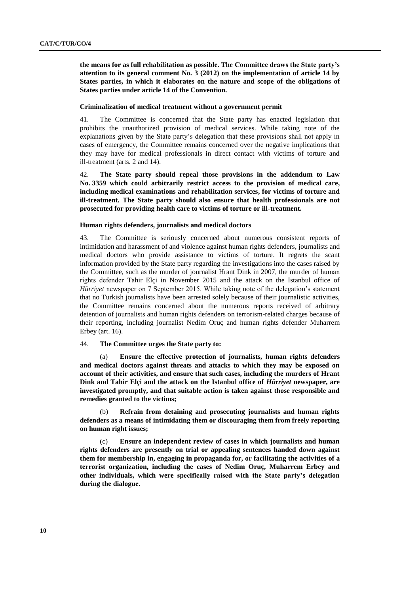**the means for as full rehabilitation as possible. The Committee draws the State party's attention to its general comment No. 3 (2012) on the implementation of article 14 by States parties, in which it elaborates on the nature and scope of the obligations of States parties under article 14 of the Convention.**

#### **Criminalization of medical treatment without a government permit**

41. The Committee is concerned that the State party has enacted legislation that prohibits the unauthorized provision of medical services. While taking note of the explanations given by the State party's delegation that these provisions shall not apply in cases of emergency, the Committee remains concerned over the negative implications that they may have for medical professionals in direct contact with victims of torture and ill-treatment (arts. 2 and 14).

42. **The State party should repeal those provisions in the addendum to Law No. 3359 which could arbitrarily restrict access to the provision of medical care, including medical examinations and rehabilitation services, for victims of torture and ill-treatment. The State party should also ensure that health professionals are not prosecuted for providing health care to victims of torture or ill-treatment.**

### **Human rights defenders, journalists and medical doctors**

43. The Committee is seriously concerned about numerous consistent reports of intimidation and harassment of and violence against human rights defenders, journalists and medical doctors who provide assistance to victims of torture. It regrets the scant information provided by the State party regarding the investigations into the cases raised by the Committee, such as the murder of journalist Hrant Dink in 2007, the murder of human rights defender Tahir Elçi in November 2015 and the attack on the Istanbul office of *Hürriyet* newspaper on 7 September 2015. While taking note of the delegation's statement that no Turkish journalists have been arrested solely because of their journalistic activities, the Committee remains concerned about the numerous reports received of arbitrary detention of journalists and human rights defenders on terrorism-related charges because of their reporting, including journalist Nedim Oruç and human rights defender Muharrem Erbey (art. 16).

### 44. **The Committee urges the State party to:**

(a) **Ensure the effective protection of journalists, human rights defenders and medical doctors against threats and attacks to which they may be exposed on account of their activities, and ensure that such cases, including the murders of Hrant Dink and Tahir Elçi and the attack on the Istanbul office of** *Hürriyet* **newspaper, are investigated promptly, and that suitable action is taken against those responsible and remedies granted to the victims;**

(b) **Refrain from detaining and prosecuting journalists and human rights defenders as a means of intimidating them or discouraging them from freely reporting on human right issues;**

(c) **Ensure an independent review of cases in which journalists and human rights defenders are presently on trial or appealing sentences handed down against them for membership in, engaging in propaganda for, or facilitating the activities of a terrorist organization, including the cases of Nedim Oruç, Muharrem Erbey and other individuals, which were specifically raised with the State party's delegation during the dialogue.**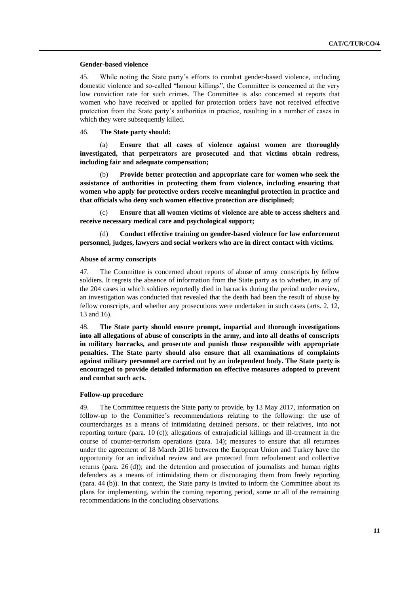#### **Gender-based violence**

45. While noting the State party's efforts to combat gender-based violence, including domestic violence and so-called "honour killings", the Committee is concerned at the very low conviction rate for such crimes. The Committee is also concerned at reports that women who have received or applied for protection orders have not received effective protection from the State party's authorities in practice, resulting in a number of cases in which they were subsequently killed.

### 46. **The State party should:**

(a) **Ensure that all cases of violence against women are thoroughly investigated, that perpetrators are prosecuted and that victims obtain redress, including fair and adequate compensation;**

(b) **Provide better protection and appropriate care for women who seek the assistance of authorities in protecting them from violence, including ensuring that women who apply for protective orders receive meaningful protection in practice and that officials who deny such women effective protection are disciplined;**

(c) **Ensure that all women victims of violence are able to access shelters and receive necessary medical care and psychological support;**

(d) **Conduct effective training on gender-based violence for law enforcement personnel, judges, lawyers and social workers who are in direct contact with victims.**

### **Abuse of army conscripts**

47. The Committee is concerned about reports of abuse of army conscripts by fellow soldiers. It regrets the absence of information from the State party as to whether, in any of the 204 cases in which soldiers reportedly died in barracks during the period under review, an investigation was conducted that revealed that the death had been the result of abuse by fellow conscripts, and whether any prosecutions were undertaken in such cases (arts. 2, 12, 13 and 16).

48. **The State party should ensure prompt, impartial and thorough investigations into all allegations of abuse of conscripts in the army, and into all deaths of conscripts in military barracks, and prosecute and punish those responsible with appropriate penalties. The State party should also ensure that all examinations of complaints against military personnel are carried out by an independent body. The State party is encouraged to provide detailed information on effective measures adopted to prevent and combat such acts.**

### **Follow-up procedure**

49. The Committee requests the State party to provide, by 13 May 2017, information on follow-up to the Committee's recommendations relating to the following: the use of countercharges as a means of intimidating detained persons, or their relatives, into not reporting torture (para. 10 (c)); allegations of extrajudicial killings and ill-treatment in the course of counter-terrorism operations (para. 14); measures to ensure that all returnees under the agreement of 18 March 2016 between the European Union and Turkey have the opportunity for an individual review and are protected from refoulement and collective returns (para. 26 (d)); and the detention and prosecution of journalists and human rights defenders as a means of intimidating them or discouraging them from freely reporting (para. 44 (b)). In that context, the State party is invited to inform the Committee about its plans for implementing, within the coming reporting period, some or all of the remaining recommendations in the concluding observations.